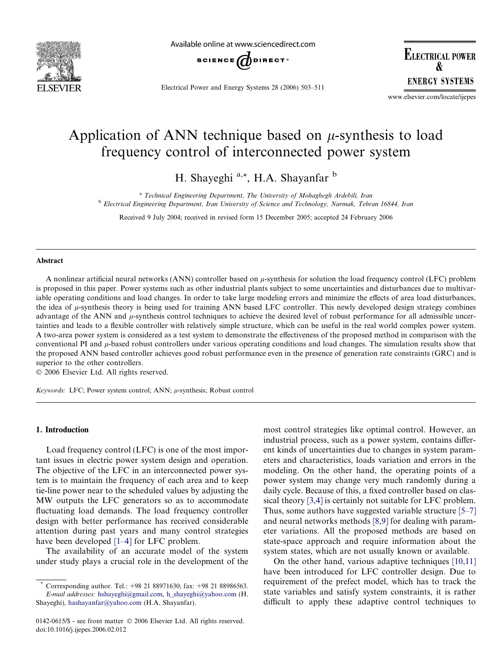

Available online at www.sciencedirect.com



Electrical Power and Energy Systems 28 (2006) 503–511

**ELECTRICAL POWER R ENERGY SYSTEMS** 

www.elsevier.com/locate/ijepes

## Application of ANN technique based on  $\mu$ -synthesis to load frequency control of interconnected power system

H. Shayeghi  $a^*$ , H.A. Shayanfar b

<sup>a</sup> Technical Engineering Department, The University of Mohaghegh Ardebili, Iran <sup>b</sup> Electrical Engineering Department, Iran University of Science and Technology, Narmak, Tehran 16844, Iran

Received 9 July 2004; received in revised form 15 December 2005; accepted 24 February 2006

#### Abstract

A nonlinear artificial neural networks (ANN) controller based on  $\mu$ -synthesis for solution the load frequency control (LFC) problem is proposed in this paper. Power systems such as other industrial plants subject to some uncertainties and disturbances due to multivariable operating conditions and load changes. In order to take large modeling errors and minimize the effects of area load disturbances, the idea of  $\mu$ -synthesis theory is being used for training ANN based LFC controller. This newly developed design strategy combines advantage of the ANN and *u*-synthesis control techniques to achieve the desired level of robust performance for all admissible uncertainties and leads to a flexible controller with relatively simple structure, which can be useful in the real world complex power system. A two-area power system is considered as a test system to demonstrate the effectiveness of the proposed method in comparison with the conventional PI and  $\mu$ -based robust controllers under various operating conditions and load changes. The simulation results show that the proposed ANN based controller achieves good robust performance even in the presence of generation rate constraints (GRC) and is superior to the other controllers.

 $© 2006 Elsevier Ltd. All rights reserved.$ 

Keywords: LFC; Power system control; ANN;  $\mu$ -synthesis; Robust control

#### 1. Introduction

Load frequency control (LFC) is one of the most important issues in electric power system design and operation. The objective of the LFC in an interconnected power system is to maintain the frequency of each area and to keep tie-line power near to the scheduled values by adjusting the MW outputs the LFC generators so as to accommodate fluctuating load demands. The load frequency controller design with better performance has received considerable attention during past years and many control strategies have been developed [\[1–4\]](#page--1-0) for LFC problem.

The availability of an accurate model of the system under study plays a crucial role in the development of the most control strategies like optimal control. However, an industrial process, such as a power system, contains different kinds of uncertainties due to changes in system parameters and characteristics, loads variation and errors in the modeling. On the other hand, the operating points of a power system may change very much randomly during a daily cycle. Because of this, a fixed controller based on classical theory [\[3,4\]](#page--1-0) is certainly not suitable for LFC problem. Thus, some authors have suggested variable structure [\[5–7\]](#page--1-0) and neural networks methods [\[8,9\]](#page--1-0) for dealing with parameter variations. All the proposed methods are based on state-space approach and require information about the system states, which are not usually known or available.

On the other hand, various adaptive techniques [\[10,11\]](#page--1-0) have been introduced for LFC controller design. Due to requirement of the prefect model, which has to track the state variables and satisfy system constraints, it is rather difficult to apply these adaptive control techniques to

Corresponding author. Tel.: +98 21 88971630; fax: +98 21 88986563. E-mail addresses: [hshayeghi@gmail.com](mailto:hshayeghi@gmail.com), [h\\_shayeghi@yahoo.com](mailto:h_shayeghi@yahoo.com) (H. Shayeghi), [hashayanfar@yahoo.com](mailto:hashayanfar@yahoo.com) (H.A. Shayanfar).

<sup>0142-0615/\$ -</sup> see front matter © 2006 Elsevier Ltd. All rights reserved. doi:10.1016/j.ijepes.2006.02.012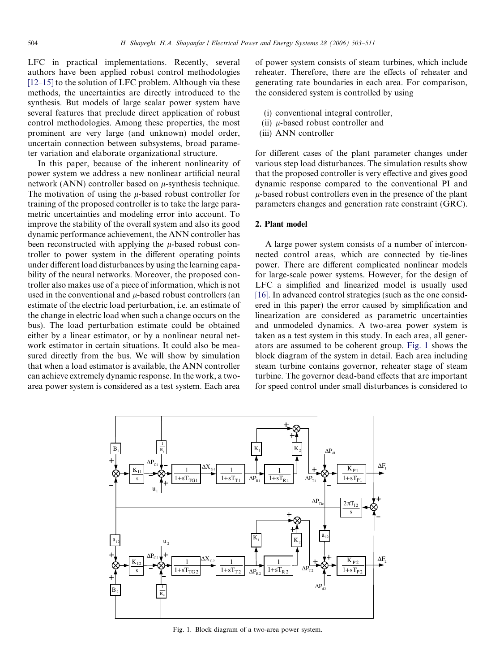LFC in practical implementations. Recently, several authors have been applied robust control methodologies  $[12–15]$  to the solution of LFC problem. Although via these methods, the uncertainties are directly introduced to the synthesis. But models of large scalar power system have several features that preclude direct application of robust control methodologies. Among these properties, the most prominent are very large (and unknown) model order, uncertain connection between subsystems, broad parameter variation and elaborate organizational structure.

In this paper, because of the inherent nonlinearity of power system we address a new nonlinear artificial neural network (ANN) controller based on  $\mu$ -synthesis technique. The motivation of using the  $\mu$ -based robust controller for training of the proposed controller is to take the large parametric uncertainties and modeling error into account. To improve the stability of the overall system and also its good dynamic performance achievement, the ANN controller has been reconstructed with applying the  $\mu$ -based robust controller to power system in the different operating points under different load disturbances by using the learning capability of the neural networks. Moreover, the proposed controller also makes use of a piece of information, which is not used in the conventional and  $\mu$ -based robust controllers (an estimate of the electric load perturbation, i.e. an estimate of the change in electric load when such a change occurs on the bus). The load perturbation estimate could be obtained either by a linear estimator, or by a nonlinear neural network estimator in certain situations. It could also be measured directly from the bus. We will show by simulation that when a load estimator is available, the ANN controller can achieve extremely dynamic response. In the work, a twoarea power system is considered as a test system. Each area of power system consists of steam turbines, which include reheater. Therefore, there are the effects of reheater and generating rate boundaries in each area. For comparison, the considered system is controlled by using

- (i) conventional integral controller,
- (ii)  $\mu$ -based robust controller and
- (iii) ANN controller

for different cases of the plant parameter changes under various step load disturbances. The simulation results show that the proposed controller is very effective and gives good dynamic response compared to the conventional PI and  $\mu$ -based robust controllers even in the presence of the plant parameters changes and generation rate constraint (GRC).

### 2. Plant model

A large power system consists of a number of interconnected control areas, which are connected by tie-lines power. There are different complicated nonlinear models for large-scale power systems. However, for the design of LFC a simplified and linearized model is usually used [\[16\]](#page--1-0). In advanced control strategies (such as the one considered in this paper) the error caused by simplification and linearization are considered as parametric uncertainties and unmodeled dynamics. A two-area power system is taken as a test system in this study. In each area, all generators are assumed to be coherent group. Fig. 1 shows the block diagram of the system in detail. Each area including steam turbine contains governor, reheater stage of steam turbine. The governor dead-band effects that are important for speed control under small disturbances is considered to



Fig. 1. Block diagram of a two-area power system.